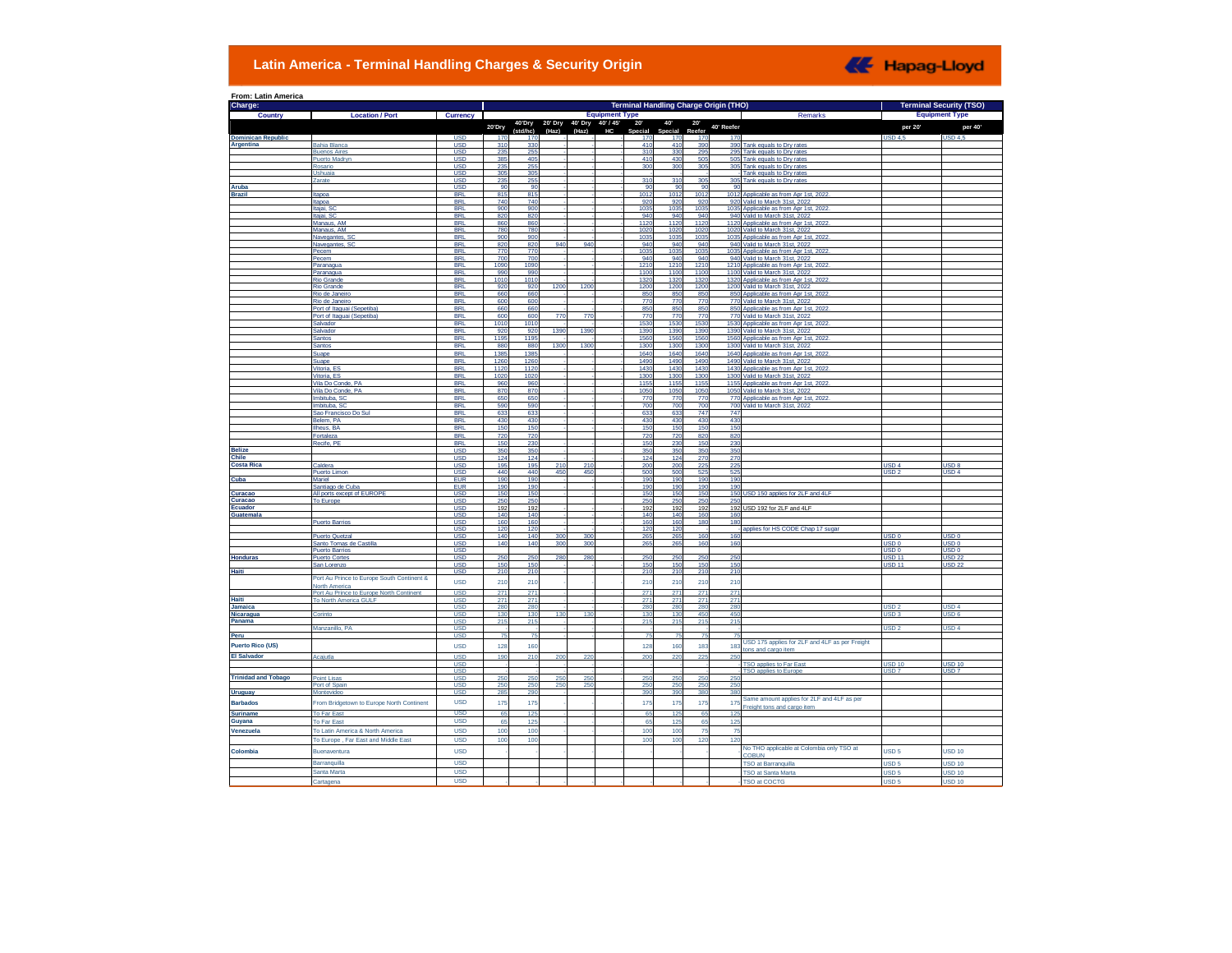## **Latin America - Terminal Handling Charges & Security Origin**



| Charge:                     |                                                  |                          | <b>Terminal Handling Charge Origin (THO)</b><br><b>Terminal Security (TSO)</b><br><b>Equipment Type</b> |                 |            |                 |           |                              |                 |              |            |                                                                         |                                            |                                      |  |
|-----------------------------|--------------------------------------------------|--------------------------|---------------------------------------------------------------------------------------------------------|-----------------|------------|-----------------|-----------|------------------------------|-----------------|--------------|------------|-------------------------------------------------------------------------|--------------------------------------------|--------------------------------------|--|
| Country                     | <b>Location / Port</b>                           | <b>Currency</b>          |                                                                                                         | 40'Dry          | 20' Dry    | 40' Dry         | 40' / 45' | <b>Equipment Type</b><br>20' |                 |              |            | Remarks                                                                 |                                            |                                      |  |
|                             |                                                  |                          | 20'Dry                                                                                                  | (std/hc)        | (Haz)      | (Haz)           | HC        | Special                      | 40<br>Special   | 20<br>Reefer | 40' Reefer |                                                                         | per 20'                                    | per 40'                              |  |
| <b>Dominican Republic</b>   |                                                  | <b>USD</b>               | 170                                                                                                     | 170             |            |                 |           | 170                          | 170             | 170          | 170        |                                                                         | <b>USD 4.5</b>                             | USD <sub>4,5</sub>                   |  |
| Argentina                   | <b>Bahia Blanca</b><br><b>Buenos Aires</b>       | <b>USD</b><br><b>USD</b> | 310<br>235                                                                                              | 330<br>255      |            |                 |           | 410<br>310                   | 41(<br>33       | 390<br>295   | 390        | Tank equals to Dry rates<br>295 Tank equals to Dry rates                |                                            |                                      |  |
|                             | <b>Puerto Madryr</b>                             | <b>USD</b>               | 385                                                                                                     | 405             |            |                 |           | 410                          | 430             | 505          |            | 505 Tank equals to Drv rates                                            |                                            |                                      |  |
|                             | Rosario                                          | <b>USD</b>               | 235                                                                                                     | 255             |            |                 |           | 300                          | 30(             | 305          |            | 305 Tank equals to Drv rates                                            |                                            |                                      |  |
|                             | Ushuaia                                          | <b>USD</b>               | 305                                                                                                     | 305             |            |                 |           |                              |                 |              |            | Tank equals to Dry rates                                                |                                            |                                      |  |
|                             | Zarate                                           | <b>USD</b><br><b>USD</b> | 235<br>90                                                                                               | 255<br>90       |            |                 |           | 310<br>9                     | 31<br>9         | 305<br>-9    | 90         | 305 Tank equals to Dry rates                                            |                                            |                                      |  |
| Aruba<br><b>Brazil</b>      | Itapoa                                           | <b>BRL</b>               | 815                                                                                                     | 815             |            |                 |           | 101                          | 101             | 1012         |            | 1012 Applicable as from Apr 1st, 2022                                   |                                            |                                      |  |
|                             | Itapoa                                           | <b>BRL</b>               | 740                                                                                                     | 740             |            |                 |           | 92                           | 92              | 92           |            | 920 Valid to March 31st, 2022                                           |                                            |                                      |  |
|                             | Itaiai, SO                                       | <b>BRI</b>               | 90                                                                                                      | 90              |            |                 |           | 103                          | 103             | 103          |            | 1035 Applicable as from Apr 1st, 202                                    |                                            |                                      |  |
|                             | Itaiai, SC<br>Manaus, AM                         | <b>BRL</b><br><b>BRL</b> | 82<br>86                                                                                                | 82<br>86        |            |                 |           | 94<br>112                    | 94<br>112       | 940<br>112   |            | 940 Valid to March 31st, 2022<br>1120 Applicable as from Apr 1st, 2022  |                                            |                                      |  |
|                             | Manaus, AM                                       | <b>BRL</b>               | 78                                                                                                      | 78              |            |                 |           | 102                          | 102             | 1020         |            | 1020 Valid to March 31st, 2022                                          |                                            |                                      |  |
|                             | Navegantes, SO                                   | <b>BRL</b>               | 900                                                                                                     | 900             |            |                 |           | 103                          | 103             | 1035         |            | 1035 Applicable as from Apr 1st, 2022                                   |                                            |                                      |  |
|                             | Navegantes, SO                                   | <b>BRL</b>               | 82                                                                                                      | 82              | 940        | 94              |           | 940                          | 94              | 940          |            | 940 Valid to March 31st, 2022                                           |                                            |                                      |  |
|                             | Pecem<br>Pecem                                   | <b>BRI</b><br><b>BRI</b> | 770<br>700                                                                                              | 770<br>70       |            |                 |           | 103<br>94                    | 103<br>94       | 1035<br>940  |            | 1035 Applicable as from Apr 1st. 2022<br>940 Valid to March 31st, 2022  |                                            |                                      |  |
|                             | Paranagua                                        | <b>BRI</b>               | 1090                                                                                                    | 1090            |            |                 |           | 1210                         | 1211            | 1210         |            | 1210 Applicable as from Apr 1st, 2022                                   |                                            |                                      |  |
|                             | Paranagua                                        | <b>BRL</b>               | 990                                                                                                     | 990             |            |                 |           | 1100                         | 110             | 1100         |            | 1100 Valid to March 31st, 2022                                          |                                            |                                      |  |
|                             | <b>Rio Grande</b>                                | <b>BRI</b>               | 1010                                                                                                    | 1010            |            |                 |           | 1320                         | 132             | 1320         |            | 1320 Applicable as from Apr 1st, 2022                                   |                                            |                                      |  |
|                             | <b>Rio Grande</b>                                | <b>BRI</b><br><b>BRI</b> | 92<br>66                                                                                                | 920<br>660      | 1200       | 120             |           | 1200                         | 120<br>85       | 1200<br>850  |            | 1200 Valid to March 31st, 2022<br>850 Applicable as from Apr 1st.       |                                            |                                      |  |
|                             | Rio de Janeir<br>Rio de Janeiro                  | <b>BRL</b>               | 600                                                                                                     | 600             |            |                 |           | 850<br>770                   | 77              | 770          |            | 770 Valid to March 31st, 2022                                           |                                            |                                      |  |
|                             | Port of Itaquai (Sepetiba                        | <b>BRI</b>               | 660                                                                                                     | 660             |            |                 |           | 850                          | 85              | 850          |            | 850 Applicable as from Apr 1st, 2022                                    |                                            |                                      |  |
|                             | Port of Itaguai (Sepetiba)                       | <b>BRL</b>               | 600                                                                                                     | 600             | <b>770</b> | 77              |           | 770                          | 77              | 770          |            | 770 Valid to March 31st, 2022                                           |                                            |                                      |  |
|                             | Salvador                                         | <b>BRI</b>               | 1010                                                                                                    | 101             |            |                 |           | 1530                         | 153             | 1530         |            | 1530 Applicable as from Apr 1st. 2022                                   |                                            |                                      |  |
|                             | Salvador<br><b>Santos</b>                        | <b>BRI</b><br><b>BRL</b> | 92<br>1195                                                                                              | 920<br>1195     | 1390       | 1390            |           | 1390<br>1560                 | 139<br>156      | 1390<br>1560 |            | 1390 Valid to March 31st, 2022<br>1560 Applicable as from Apr 1st, 2022 |                                            |                                      |  |
|                             | Santos                                           | <b>BRL</b>               | 880                                                                                                     | 880             | 1300       | 130             |           | 1300                         | 1300            | 1300         |            | 1300 Valid to March 31st, 2022                                          |                                            |                                      |  |
|                             | Suape                                            | <b>BRL</b>               | 138                                                                                                     | 138             |            |                 |           | 164                          | 164             | 1640         |            | 1640 Applicable as from Apr 1st, 2022                                   |                                            |                                      |  |
|                             | Suape                                            | <b>BRI</b>               | 126                                                                                                     | 126             |            |                 |           | 149                          | 149             | 1490         |            | 1490 Valid to March 31st. 2022                                          |                                            |                                      |  |
|                             | Vitoria, ES                                      | <b>BRI</b>               | 112                                                                                                     | 1120            |            |                 |           | 1430                         | 143             | 1430         |            | 1430 Applicable as from Apr 1st, 2022                                   |                                            |                                      |  |
|                             | Vitoria, ES                                      | <b>BRL</b>               | 1020                                                                                                    | 1020<br>96      |            |                 |           | 1300                         | 130             | 1300         |            | 1300 Valid to March 31st, 2022                                          |                                            |                                      |  |
|                             | Vila Do Conde, PA<br>Vila Do Conde, PA           | <b>BRL</b><br><b>BRL</b> | 960<br>87                                                                                               | 870             |            |                 |           | 115<br>105                   | 115<br>105      | 1155<br>105  |            | 1155 Applicable as from Apr 1st, 2022<br>1050 Valid to March 31st, 2022 |                                            |                                      |  |
|                             | Imbituba, SC                                     | <b>BRI</b>               | 650                                                                                                     | 65              |            |                 |           | 77                           | 77              | 770          |            | 770 Applicable as from Apr 1st. 2022                                    |                                            |                                      |  |
|                             | Imbituba, SC                                     | <b>BRL</b>               | 590                                                                                                     | 590             |            |                 |           | 700                          | 70              | 700          |            | 700 Valid to March 31st, 2022                                           |                                            |                                      |  |
|                             | Sao Francisco Do Sul                             | <b>BRI</b>               | 63                                                                                                      | 633             |            |                 |           | 633                          | 63              | 747          | 747        |                                                                         |                                            |                                      |  |
|                             | Belem, PA                                        | <b>BRL</b>               | 430                                                                                                     | 430<br>150      |            |                 |           | 430                          | 43              | 430<br>150   | 430<br>150 |                                                                         |                                            |                                      |  |
|                             | Ilheus, BA<br>Fortaleza                          | <b>BRL</b><br><b>BRI</b> | 150<br>720                                                                                              | 72              |            |                 |           | 150<br>720                   | 15<br>72        | 820          | 820        |                                                                         |                                            |                                      |  |
|                             | Recife, PE                                       | <b>BRL</b>               | 150                                                                                                     | 230             |            |                 |           | 150                          | 230             | 150          | 230        |                                                                         |                                            |                                      |  |
| <b>Belize</b>               |                                                  | <b>USD</b>               | 350                                                                                                     | 35C             |            |                 |           | 350                          | 35              | 350          | 350        |                                                                         |                                            |                                      |  |
| <b>Chile</b>                |                                                  | <b>USD</b>               | 124                                                                                                     | 124             |            |                 |           | 124                          | 12 <sub>i</sub> | 270          | 270        |                                                                         |                                            |                                      |  |
| <b>Costa Rica</b>           | Caldera                                          | <b>USD</b>               | 195                                                                                                     | 195             | 21(<br>45  | 21<br>45        |           | 200                          | 20<br>50        | 225          | 225<br>52  |                                                                         | USD <sub>4</sub>                           | USD <sub>8</sub><br>SD <sub>4</sub>  |  |
| Cuba                        | <b>Puerto Limon</b><br>Mariel                    | <b>USD</b><br><b>EUR</b> | 440<br>19                                                                                               | 440<br>19       |            |                 |           | 50<br>19                     | 19 <sub>l</sub> | 52<br>190    | 190        |                                                                         | JSD :                                      |                                      |  |
|                             | Santiago de Cuba                                 | <b>EUR</b>               | 19                                                                                                      | 19              |            |                 |           | 19                           | 19              | 190          | 190        |                                                                         |                                            |                                      |  |
| Curacao                     | All ports except of EUROPE                       | <b>USD</b>               | 15 <sub>1</sub>                                                                                         | 15 <sub>l</sub> |            |                 |           | 150                          | 15              | 150          |            | 150 USD 150 applies for 2LF and 4LF                                     |                                            |                                      |  |
| Curacao<br>Ecuador          | <b>To Europe</b>                                 | <b>USD</b><br><b>USD</b> | 25<br>192                                                                                               | 25<br>192       |            |                 |           | 25 <sub>1</sub><br>192       | 25<br>19        | 250<br>192   | 250        | 192 USD 192 for 2LF and 4LF                                             |                                            |                                      |  |
| Guatemala                   |                                                  | <b>USD</b>               | 140                                                                                                     | 140             |            |                 |           | 140                          | 141             | 160          | 160        |                                                                         |                                            |                                      |  |
|                             | <b>Puerto Barrios</b>                            | <b>USD</b>               | 160                                                                                                     | 16              |            |                 |           | 160                          | 16              | 18           | 180        |                                                                         |                                            |                                      |  |
|                             |                                                  | <b>USD</b>               | 120                                                                                                     | 12(             |            |                 |           | 120                          | 12              |              |            | applies for HS CODE Chap 17 suga                                        |                                            |                                      |  |
|                             | <b>Puerto Quetzal</b><br>Santo Tomas de Castilla | <b>USD</b>               | 140                                                                                                     | 140<br>140      | 300        | 300             |           | 265                          | 26              | 160          | 160        |                                                                         | USD <sub>0</sub>                           | USD 0                                |  |
|                             | <b>Puerto Barrios</b>                            | <b>USD</b><br><b>USD</b> | 140                                                                                                     |                 | 300        | 300             |           | 265                          | 26              | 160          | 160        |                                                                         | USD <sub>0</sub><br>USD <sub>0</sub>       | USD <sub>0</sub><br>USD <sub>0</sub> |  |
| <b>Honduras</b>             | <b>Puerto Cortes</b>                             | <b>USD</b>               |                                                                                                         | 250<br>150      | 280        | 280             |           | 250                          | 25              | 250<br>150   | 250        |                                                                         | <b>USD 11</b>                              | USD <sub>2</sub>                     |  |
|                             | San Lorenzo                                      | USD                      | 250<br>150                                                                                              |                 |            |                 |           | 150                          | 15              |              | 150        |                                                                         | <b>USD 11</b>                              | USD:                                 |  |
| Haiti                       | Port Au Prince to Europe South Continent &       | <b>USD</b>               | 210                                                                                                     | 210             |            |                 |           | 21(                          | 21              | 210          | 210        |                                                                         |                                            |                                      |  |
|                             | North America                                    | <b>USD</b>               | 210                                                                                                     | 210             |            |                 |           | 210                          | 21(             | 210          | 210        |                                                                         |                                            |                                      |  |
|                             | Port Au Prince to Europe North Continent         | USD                      | 271                                                                                                     | 271             |            |                 |           | 271                          | 27              | 271          | 271        |                                                                         |                                            |                                      |  |
| Haiti                       | To North America GULF                            | <b>USD</b>               | 271                                                                                                     | 271             |            |                 |           | 271                          | 27              | 271          | 271        |                                                                         |                                            |                                      |  |
| Jamaica<br><b>Nicaragua</b> | Corinto                                          | <b>USD</b><br><b>USD</b> | 280<br>130                                                                                              | 2Rf<br>130      | 130        | 130             |           | 280<br>130                   | 281<br>13       | 280<br>450   | 280<br>450 |                                                                         | <b>JSD<sub>2</sub></b><br>USD <sub>3</sub> | ISD <sub>A</sub><br>a GRLI           |  |
| Panama                      |                                                  | <b>USD</b>               | 215                                                                                                     | 215             |            |                 |           | 215                          | 215             | 215          | 215        |                                                                         |                                            |                                      |  |
|                             | Manzanillo, PA                                   | <b>USD</b>               |                                                                                                         |                 |            |                 |           |                              |                 |              |            |                                                                         | USD <sub>2</sub>                           | ISD <sub>4</sub>                     |  |
| Peru                        |                                                  | <b>USD</b>               |                                                                                                         | 75              |            |                 |           |                              |                 | 75           |            |                                                                         |                                            |                                      |  |
| <b>Puerto Rico (US)</b>     |                                                  | <b>USD</b>               | 128                                                                                                     | 160             |            |                 |           | 128                          | 160             | 183          | 183        | USD 175 applies for 2LF and 4LF as per Freight                          |                                            |                                      |  |
| <b>El Salvador</b>          | Acaiutla                                         | <b>USD</b>               | 190                                                                                                     | 21              |            |                 |           | 20                           | 22              | 22           | 25         | ons and cargo item                                                      |                                            |                                      |  |
|                             |                                                  | <b>USD</b>               |                                                                                                         |                 |            |                 |           |                              |                 |              |            | 'SO applies to Far East                                                 | <b>SD 10</b>                               | SD 10                                |  |
|                             |                                                  | <b>USD</b>               |                                                                                                         |                 |            |                 |           |                              |                 |              |            | <b>TSO applies to Europe</b>                                            | JSD <sub>7</sub>                           | ISD <sub>7</sub>                     |  |
| <b>Trinidad and Tobago</b>  | cint Lisas                                       | <b>USD</b>               | 25<br>25                                                                                                | 25              | 25C        | 25 <sub>0</sub> |           | 25                           | 25 <sub>1</sub> | 25           | 25<br>25   |                                                                         |                                            |                                      |  |
| <b>Uruguay</b>              | Port of Spair<br>Montevideo                      | <b>USD</b><br>USD        |                                                                                                         | 25 <sub>0</sub> | 25         |                 |           | 25                           | 25<br>39        | 250<br>38    |            |                                                                         |                                            |                                      |  |
|                             |                                                  |                          |                                                                                                         |                 |            |                 |           |                              |                 |              |            | Same amount applies for 2LF and 4LF as per                              |                                            |                                      |  |
| <b>Barbados</b>             | From Bridgetown to Europe North Continent        | <b>USD</b>               | 175                                                                                                     | 17              |            |                 |           | 175                          | 175             | 175          | 175        | Freight tons and cargo item                                             |                                            |                                      |  |
| <b>Suriname</b>             | <b>To Far Eas</b>                                | <b>USD</b>               | 65                                                                                                      | 125             |            |                 |           | 65                           | 12 <sup>1</sup> | 65           | 125        |                                                                         |                                            |                                      |  |
| Guyana                      | To Far East                                      | <b>USD</b>               | 65                                                                                                      | 125             |            |                 |           | 65                           | 125             | 65           | 125        |                                                                         |                                            |                                      |  |
| Venezuela                   | To Latin America & North America                 | <b>USD</b>               | 100                                                                                                     | 100             |            |                 |           | 100                          | 100             | 75           | 75         |                                                                         |                                            |                                      |  |
|                             | To Europe, Far East and Middle East              | <b>USD</b>               | 100                                                                                                     | 100             |            |                 |           | 100                          | 100             | 120          | 120        |                                                                         |                                            |                                      |  |
| Colombia                    | Buenaventura                                     | <b>USD</b>               |                                                                                                         |                 |            |                 |           |                              |                 |              |            | No THO applicable at Colombia only TSO at                               | USD <sub>5</sub>                           | <b>JSD 10</b>                        |  |
|                             |                                                  | <b>USD</b>               |                                                                                                         |                 |            |                 |           |                              |                 |              |            | <b>COBUN</b>                                                            | USD <sub>5</sub>                           | <b>JSD 10</b>                        |  |
|                             | Barranquilla<br>Santa Marta                      | <b>USD</b>               |                                                                                                         |                 |            |                 |           |                              |                 |              |            | TSO at Barranquilla                                                     |                                            |                                      |  |
|                             |                                                  |                          |                                                                                                         |                 |            |                 |           |                              |                 |              |            | <b>TSO at Santa Marta</b>                                               | USD <sub>5</sub>                           | <b>JSD 10</b>                        |  |
|                             | Cartagena                                        | <b>USD</b>               |                                                                                                         |                 |            |                 |           |                              |                 |              |            | <b>TSO at COCTG</b>                                                     | USD <sub>5</sub>                           | <b>USD 10</b>                        |  |